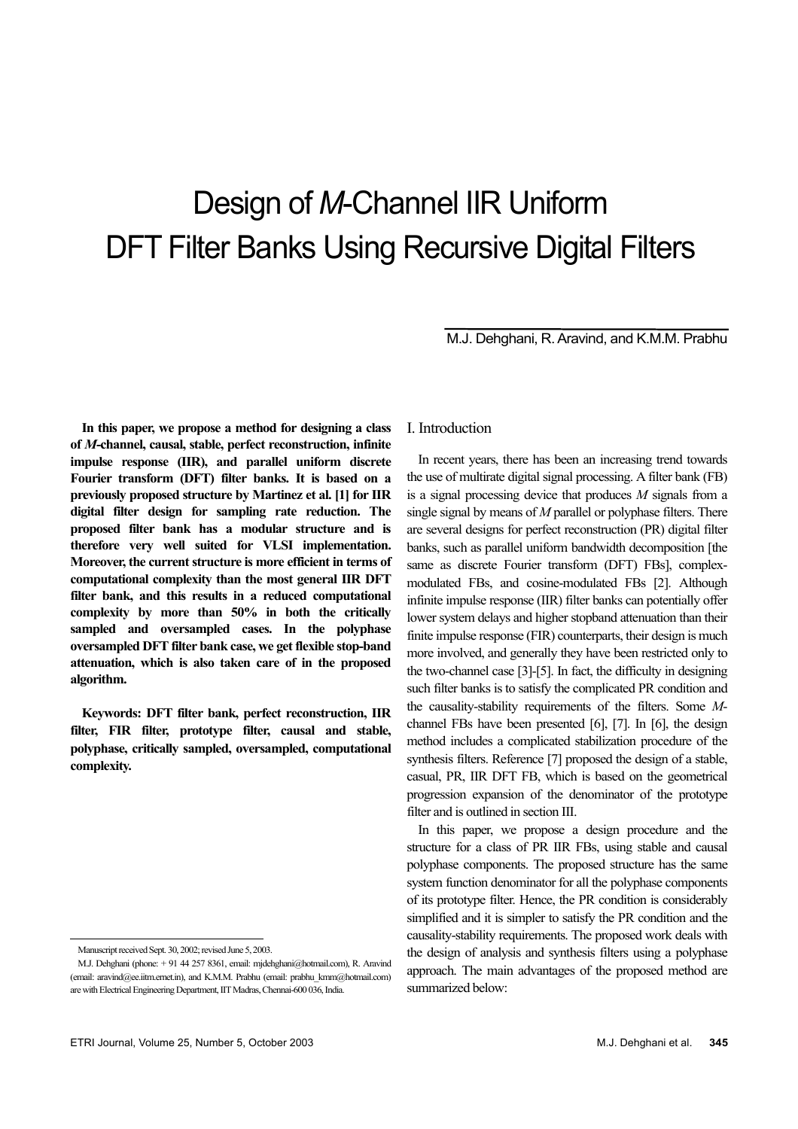# Design of *M*-Channel IIR Uniform DFT Filter Banks Using Recursive Digital Filters

M.J. Dehghani, R. Aravind, and K.M.M. Prabhu

**In this paper, we propose a method for designing a class of** *M***-channel, causal, stable, perfect reconstruction, infinite impulse response (IIR), and parallel uniform discrete Fourier transform (DFT) filter banks. It is based on a previously proposed structure by Martinez et al. [1] for IIR digital filter design for sampling rate reduction. The proposed filter bank has a modular structure and is therefore very well suited for VLSI implementation. Moreover, the current structure is more efficient in terms of computational complexity than the most general IIR DFT filter bank, and this results in a reduced computational complexity by more than 50% in both the critically sampled and oversampled cases. In the polyphase oversampled DFT filter bank case, we get flexible stop-band attenuation, which is also taken care of in the proposed algorithm.** 

**Keywords: DFT filter bank, perfect reconstruction, IIR filter, FIR filter, prototype filter, causal and stable, polyphase, critically sampled, oversampled, computational complexity.** 

1

## I. Introduction

In recent years, there has been an increasing trend towards the use of multirate digital signal processing. A filter bank (FB) is a signal processing device that produces *M* signals from a single signal by means of *M* parallel or polyphase filters. There are several designs for perfect reconstruction (PR) digital filter banks, such as parallel uniform bandwidth decomposition [the same as discrete Fourier transform (DFT) FBs], complexmodulated FBs, and cosine-modulated FBs [2]. Although infinite impulse response (IIR) filter banks can potentially offer lower system delays and higher stopband attenuation than their finite impulse response (FIR) counterparts, their design is much more involved, and generally they have been restricted only to the two-channel case [3]-[5]. In fact, the difficulty in designing such filter banks is to satisfy the complicated PR condition and the causality-stability requirements of the filters. Some *M*channel FBs have been presented [6], [7]. In [6], the design method includes a complicated stabilization procedure of the synthesis filters. Reference [7] proposed the design of a stable, casual, PR, IIR DFT FB, which is based on the geometrical progression expansion of the denominator of the prototype filter and is outlined in section III.

In this paper, we propose a design procedure and the structure for a class of PR IIR FBs, using stable and causal polyphase components. The proposed structure has the same system function denominator for all the polyphase components of its prototype filter. Hence, the PR condition is considerably simplified and it is simpler to satisfy the PR condition and the causality-stability requirements. The proposed work deals with the design of analysis and synthesis filters using a polyphase approach. The main advantages of the proposed method are summarized below:

Manuscript received Sept. 30, 2002; revised June 5, 2003.

M.J. Dehghani (phone: + 91 44 257 8361, email: mjdehghani@hotmail.com), R. Aravind (email: aravind@ee.iitm.ernet.in), and K.M.M. Prabhu (email: prabhu\_kmm@hotmail.com) are with Electrical Engineering Department, IIT Madras, Chennai-600 036, India.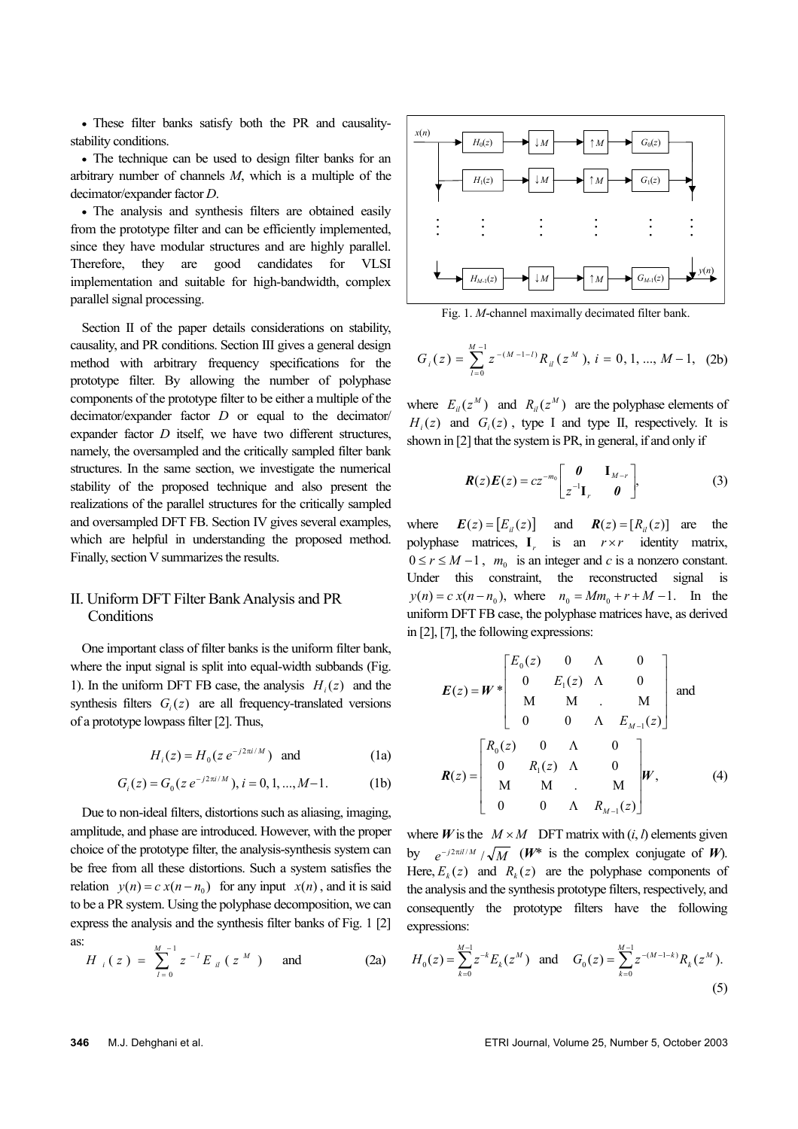• These filter banks satisfy both the PR and causalitystability conditions.

• The technique can be used to design filter banks for an arbitrary number of channels *M*, which is a multiple of the decimator/expander factor *D*.

• The analysis and synthesis filters are obtained easily from the prototype filter and can be efficiently implemented, since they have modular structures and are highly parallel. Therefore, they are good candidates for VLSI implementation and suitable for high-bandwidth, complex parallel signal processing.

Section II of the paper details considerations on stability, causality, and PR conditions. Section III gives a general design method with arbitrary frequency specifications for the prototype filter. By allowing the number of polyphase components of the prototype filter to be either a multiple of the decimator/expander factor *D* or equal to the decimator/ expander factor *D* itself, we have two different structures, namely, the oversampled and the critically sampled filter bank structures. In the same section, we investigate the numerical stability of the proposed technique and also present the realizations of the parallel structures for the critically sampled and oversampled DFT FB. Section IV gives several examples, which are helpful in understanding the proposed method. Finally, section V summarizes the results.

# II. Uniform DFT Filter Bank Analysis and PR **Conditions**

One important class of filter banks is the uniform filter bank, where the input signal is split into equal-width subbands (Fig. 1). In the uniform DFT FB case, the analysis  $H_i(z)$  and the synthesis filters  $G_i(z)$  are all frequency-translated versions of a prototype lowpass filter [2]. Thus,

$$
H_i(z) = H_0(z \, e^{-j2\pi i/M}) \quad \text{and} \tag{1a}
$$

$$
G_i(z) = G_0(z \, e^{-j2\pi i/M}), \, i = 0, 1, \dots, M-1. \tag{1b}
$$

Due to non-ideal filters, distortions such as aliasing, imaging, amplitude, and phase are introduced. However, with the proper choice of the prototype filter, the analysis-synthesis system can be free from all these distortions. Such a system satisfies the relation  $y(n) = c x(n - n_0)$  for any input  $x(n)$ , and it is said to be a PR system. Using the polyphase decomposition, we can express the analysis and the synthesis filter banks of Fig. 1 [2] as:

$$
H_{i}(z) = \sum_{l=0}^{M-1} z^{-l} E_{il}(z^{M}) \text{ and } (2a)
$$



Fig. 1. *M*-channel maximally decimated filter bank.

$$
G_i(z) = \sum_{i=0}^{M-1} z^{-(M-1-i)} R_{ii}(z^M), i = 0, 1, ..., M-1, (2b)
$$

where  $E_{il}(z^M)$  and  $R_{il}(z^M)$  are the polyphase elements of  $H_i(z)$  and  $G_i(z)$ , type I and type II, respectively. It is shown in [2] that the system is PR, in general, if and only if

$$
\boldsymbol{R}(z)\boldsymbol{E}(z) = cz^{-m_0} \begin{bmatrix} \boldsymbol{0} & \mathbf{I}_{M-r} \\ z^{-1} \mathbf{I}_r & \boldsymbol{0} \end{bmatrix},
$$
(3)

where  $\boldsymbol{E}(z) = [E_{ij}(z)]$  and  $\boldsymbol{R}(z) = [R_{ij}(z)]$  are the polyphase matrices, *<sup>r</sup>* is an  $r \times r$  identity matrix,  $0 \le r \le M - 1$ ,  $m_0$  is an integer and *c* is a nonzero constant. Under this constraint, the reconstructed signal is  $y(n) = c x(n - n_0)$ , where  $n_0 = Mm_0 + r + M - 1$ . In the uniform DFT FB case, the polyphase matrices have, as derived in [2], [7], the following expressions:

$$
E(z) = W * \begin{bmatrix} E_0(z) & 0 & \Lambda & 0 \\ 0 & E_1(z) & \Lambda & 0 \\ M & M & . & M \\ 0 & 0 & \Lambda & E_{M-1}(z) \end{bmatrix}
$$
 and  

$$
R(z) = \begin{bmatrix} R_0(z) & 0 & \Lambda & 0 \\ 0 & R_1(z) & \Lambda & 0 \\ M & M & . & M \\ 0 & 0 & \Lambda & R_{M-1}(z) \end{bmatrix} W,
$$
 (4)

where *W* is the  $M \times M$  DFT matrix with  $(i, l)$  elements given by  $e^{-j2\pi i l/M}/\sqrt{M}$  (*W*\* is the complex conjugate of *W*). Here,  $E_k(z)$  and  $R_k(z)$  are the polyphase components of the analysis and the synthesis prototype filters, respectively, and consequently the prototype filters have the following expressions:

$$
H_0(z) = \sum_{k=0}^{M-1} z^{-k} E_k(z^M) \text{ and } G_0(z) = \sum_{k=0}^{M-1} z^{-(M-1-k)} R_k(z^M).
$$
\n(5)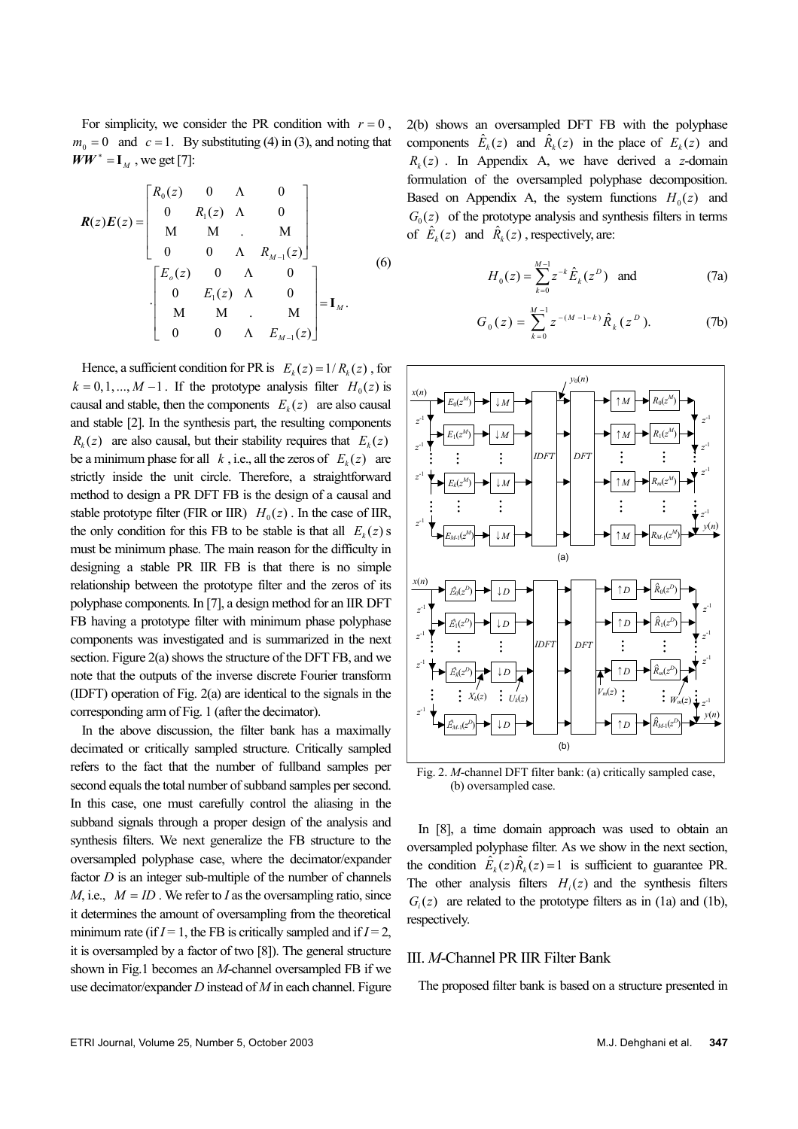For simplicity, we consider the PR condition with  $r = 0$ ,  $m_0 = 0$  and  $c = 1$ . By substituting (4) in (3), and noting that  $WW^* = I_M$ , we get [7]:

$$
\boldsymbol{R}(z)\boldsymbol{E}(z) = \begin{bmatrix} R_0(z) & 0 & \Lambda & 0 \\ 0 & R_1(z) & \Lambda & 0 \\ M & M & . & M \\ 0 & 0 & \Lambda & R_{M-1}(z) \end{bmatrix}
$$

$$
\cdot \begin{bmatrix} E_o(z) & 0 & \Lambda & 0 \\ 0 & E_1(z) & \Lambda & 0 \\ M & M & . & M \\ 0 & 0 & \Lambda & E_{M-1}(z) \end{bmatrix} = \mathbf{I}_M.
$$
(6)

Hence, a sufficient condition for PR is  $E_k(z) = 1/R_k(z)$ , for  $k = 0, 1, \ldots, M - 1$ . If the prototype analysis filter  $H_0(z)$  is causal and stable, then the components  $E_k(z)$  are also causal and stable [2]. In the synthesis part, the resulting components  $R_k(z)$  are also causal, but their stability requires that  $E_k(z)$ be a minimum phase for all  $k$ , i.e., all the zeros of  $E_k(z)$  are strictly inside the unit circle. Therefore, a straightforward method to design a PR DFT FB is the design of a causal and stable prototype filter (FIR or IIR)  $H_0(z)$ . In the case of IIR, the only condition for this FB to be stable is that all  $E_k(z)$  is must be minimum phase. The main reason for the difficulty in designing a stable PR IIR FB is that there is no simple relationship between the prototype filter and the zeros of its polyphase components. In [7], a design method for an IIR DFT FB having a prototype filter with minimum phase polyphase components was investigated and is summarized in the next section. Figure 2(a) shows the structure of the DFT FB, and we note that the outputs of the inverse discrete Fourier transform (IDFT) operation of Fig. 2(a) are identical to the signals in the corresponding arm of Fig. 1 (after the decimator).

In the above discussion, the filter bank has a maximally decimated or critically sampled structure. Critically sampled refers to the fact that the number of fullband samples per second equals the total number of subband samples per second. In this case, one must carefully control the aliasing in the subband signals through a proper design of the analysis and synthesis filters. We next generalize the FB structure to the oversampled polyphase case, where the decimator/expander factor *D* is an integer sub-multiple of the number of channels *M*, i.e.,  $M = ID$ . We refer to *I* as the oversampling ratio, since it determines the amount of oversampling from the theoretical minimum rate (if  $I = 1$ , the FB is critically sampled and if  $I = 2$ , it is oversampled by a factor of two [8]). The general structure shown in Fig.1 becomes an *M*-channel oversampled FB if we use decimator/expander *D* instead of *M* in each channel. Figure

2(b) shows an oversampled DFT FB with the polyphase components  $\hat{E}_k(z)$  and  $\hat{R}_k(z)$  in the place of  $E_k(z)$  and  $R_k(z)$ . In Appendix A, we have derived a *z*-domain formulation of the oversampled polyphase decomposition. Based on Appendix A, the system functions  $H_0(z)$  and  $G_0(z)$  of the prototype analysis and synthesis filters in terms of  $\hat{E}_k(z)$  and  $\hat{R}_k(z)$ , respectively, are:

$$
H_0(z) = \sum_{k=0}^{M-1} z^{-k} \hat{E}_k(z^D) \text{ and } (7a)
$$

$$
G_0(z) = \sum_{k=0}^{M-1} z^{-(M-1-k)} \hat{R}_k(z^D).
$$
 (7b)



Fig. 2. *M*-channel DFT filter bank: (a) critically sampled case, (b) oversampled case.

In [8], a time domain approach was used to obtain an oversampled polyphase filter. As we show in the next section, the condition  $\hat{E}_k(z)\hat{R}_k(z) = 1$  is sufficient to guarantee PR. The other analysis filters  $H_i(z)$  and the synthesis filters  $G_i(z)$  are related to the prototype filters as in (1a) and (1b), respectively.

#### III. *M*-Channel PR IIR Filter Bank

The proposed filter bank is based on a structure presented in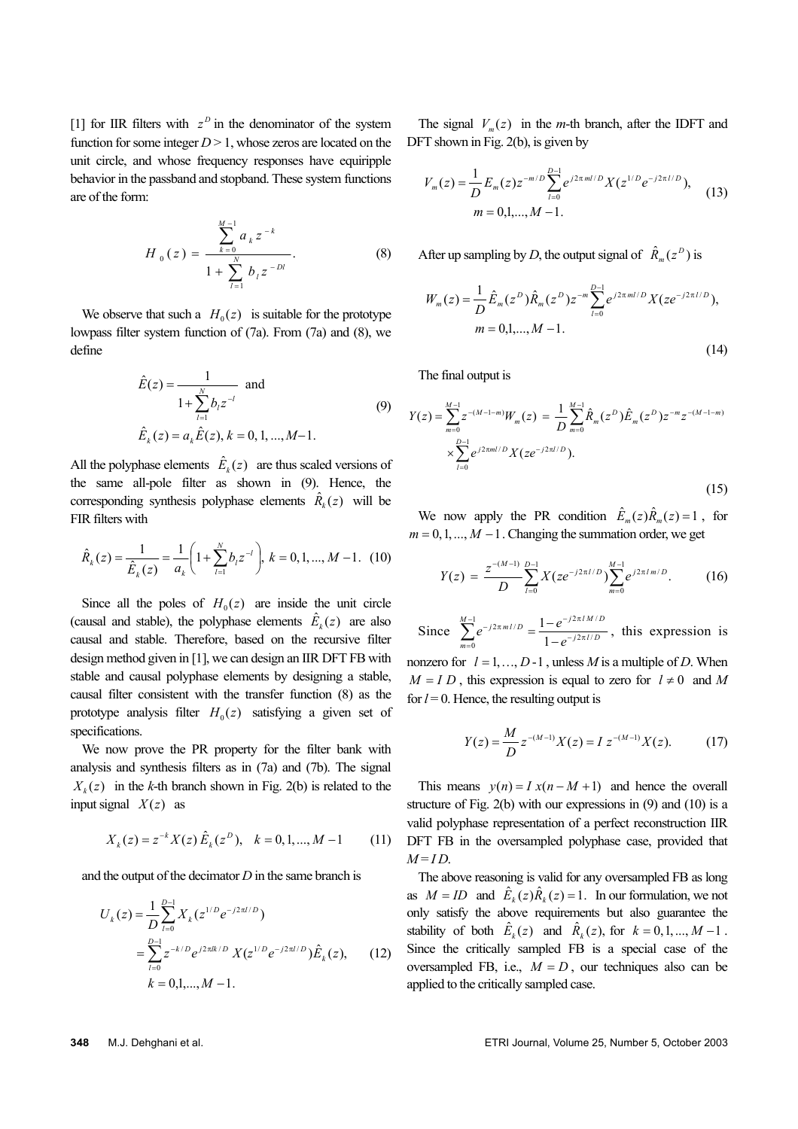[1] for IIR filters with  $z^D$  in the denominator of the system function for some integer  $D > 1$ , whose zeros are located on the unit circle, and whose frequency responses have equiripple behavior in the passband and stopband. These system functions are of the form:

$$
H_0(z) = \frac{\sum_{k=0}^{M-1} a_k z^{-k}}{1 + \sum_{l=1}^{N} b_l z^{-l}}
$$
 (8)

We observe that such a  $H_0(z)$  is suitable for the prototype lowpass filter system function of (7a). From (7a) and (8), we define

$$
\hat{E}(z) = \frac{1}{1 + \sum_{l=1}^{N} b_l z^{-l}} \text{ and}
$$
\n
$$
\hat{E}_k(z) = a_k \hat{E}(z), k = 0, 1, ..., M-1.
$$
\n(9)

All the polyphase elements  $\hat{E}_k(z)$  are thus scaled versions of the same all-pole filter as shown in (9). Hence, the corresponding synthesis polyphase elements  $\hat{R}_k(z)$  will be FIR filters with

$$
\hat{R}_k(z) = \frac{1}{\hat{E}_k(z)} = \frac{1}{a_k} \left( 1 + \sum_{l=1}^N b_l z^{-l} \right), k = 0, 1, ..., M - 1. \tag{10}
$$

Since all the poles of  $H_0(z)$  are inside the unit circle (causal and stable), the polyphase elements  $\hat{E}_k(z)$  are also causal and stable. Therefore, based on the recursive filter design method given in [1], we can design an IIR DFT FB with stable and causal polyphase elements by designing a stable, causal filter consistent with the transfer function (8) as the prototype analysis filter  $H_0(z)$  satisfying a given set of specifications.

We now prove the PR property for the filter bank with analysis and synthesis filters as in (7a) and (7b). The signal  $X_k(z)$  in the *k*-th branch shown in Fig. 2(b) is related to the input signal  $X(z)$  as

$$
X_k(z) = z^{-k} X(z) \hat{E}_k(z^D), \quad k = 0, 1, ..., M - 1 \tag{11}
$$

and the output of the decimator *D* in the same branch is

$$
U_k(z) = \frac{1}{D} \sum_{l=0}^{D-1} X_k(z^{1/D} e^{-j2\pi l/D})
$$
  
= 
$$
\sum_{l=0}^{D-1} z^{-k/D} e^{j2\pi l k/D} X(z^{1/D} e^{-j2\pi l/D}) \hat{E}_k(z),
$$
 (12)  

$$
k = 0,1,...,M-1.
$$

The signal  $V_m(z)$  in the *m*-th branch, after the IDFT and DFT shown in Fig. 2(b), is given by

$$
V_m(z) = \frac{1}{D} E_m(z) z^{-m/D} \sum_{l=0}^{D-1} e^{j2\pi m l/D} X(z^{1/D} e^{-j2\pi l/D}),
$$
  
\n
$$
m = 0,1,..., M-1.
$$
\n(13)

After up sampling by *D*, the output signal of  $\hat{R}_m(z^D)$  is

$$
W_m(z) = \frac{1}{D} \hat{E}_m(z^D) \hat{R}_m(z^D) z^{-m} \sum_{l=0}^{D-1} e^{j2\pi m l/D} X(ze^{-j2\pi l/D}),
$$
  
\n
$$
m = 0, 1, ..., M-1.
$$
\n(14)

The final output is

$$
Y(z) = \sum_{m=0}^{M-1} z^{-(M-1-m)} W_m(z) = \frac{1}{D} \sum_{m=0}^{M-1} \hat{R}_m(z^D) \hat{E}_m(z^D) z^{-m} z^{-(M-1-m)}
$$
  
 
$$
\times \sum_{l=0}^{D-1} e^{j2\pi m l/D} X(ze^{-j2\pi l/D}).
$$
 (15)

We now apply the PR condition  $\hat{E}_m(z)\hat{R}_m(z) = 1$ , for  $m = 0, 1, \ldots, M - 1$ . Changing the summation order, we get

$$
Y(z) = \frac{z^{-(M-1)}}{D} \sum_{l=0}^{D-1} X(ze^{-j2\pi l/D}) \sum_{m=0}^{M-1} e^{j2\pi l m/D}.
$$
 (16)

Since  $\sum_{m=1}^{M-1} e^{-j2\pi m l/D} = \frac{1 - e^{-j2\pi l M/D}}{1 - e^{-j2\pi l/D}}$ *m Dlmj e*  $e^{-j2\pi m l/D} = \frac{1-e^{-j2\pi l/M}}{1-e^{-j2\pi l/D}}$ 1  $1 - e^{-j2\pi l M / l}$ 0  $2\pi$  m l/ 1 1  $-j2\pi$  $1 - e^{-j2\pi}$ =  $-j2\pi$ −  $\sum_{n=0}^{M-1} e^{-j2\pi n I/D} = \frac{1 - e^{-j2\pi I/D}}{1 - e^{-j2\pi I/D}}$ , this expression is

nonzero for  $l = 1, ..., D-1$ , unless *M* is a multiple of *D*. When  $M = I D$ , this expression is equal to zero for  $l \neq 0$  and M for  $l = 0$ . Hence, the resulting output is

$$
Y(z) = \frac{M}{D} z^{-(M-1)} X(z) = I z^{-(M-1)} X(z).
$$
 (17)

This means  $v(n) = I x(n-M+1)$  and hence the overall structure of Fig. 2(b) with our expressions in (9) and (10) is a valid polyphase representation of a perfect reconstruction IIR DFT FB in the oversampled polyphase case, provided that  $M = ID$ .

The above reasoning is valid for any oversampled FB as long as  $M = ID$  and  $\hat{E}_k(z)\hat{R}_k(z) = 1$ . In our formulation, we not only satisfy the above requirements but also guarantee the stability of both  $\hat{E}_k(z)$  and  $\hat{R}_k(z)$ , for  $k = 0, 1, ..., M - 1$ . Since the critically sampled FB is a special case of the oversampled FB, i.e.,  $M = D$ , our techniques also can be applied to the critically sampled case.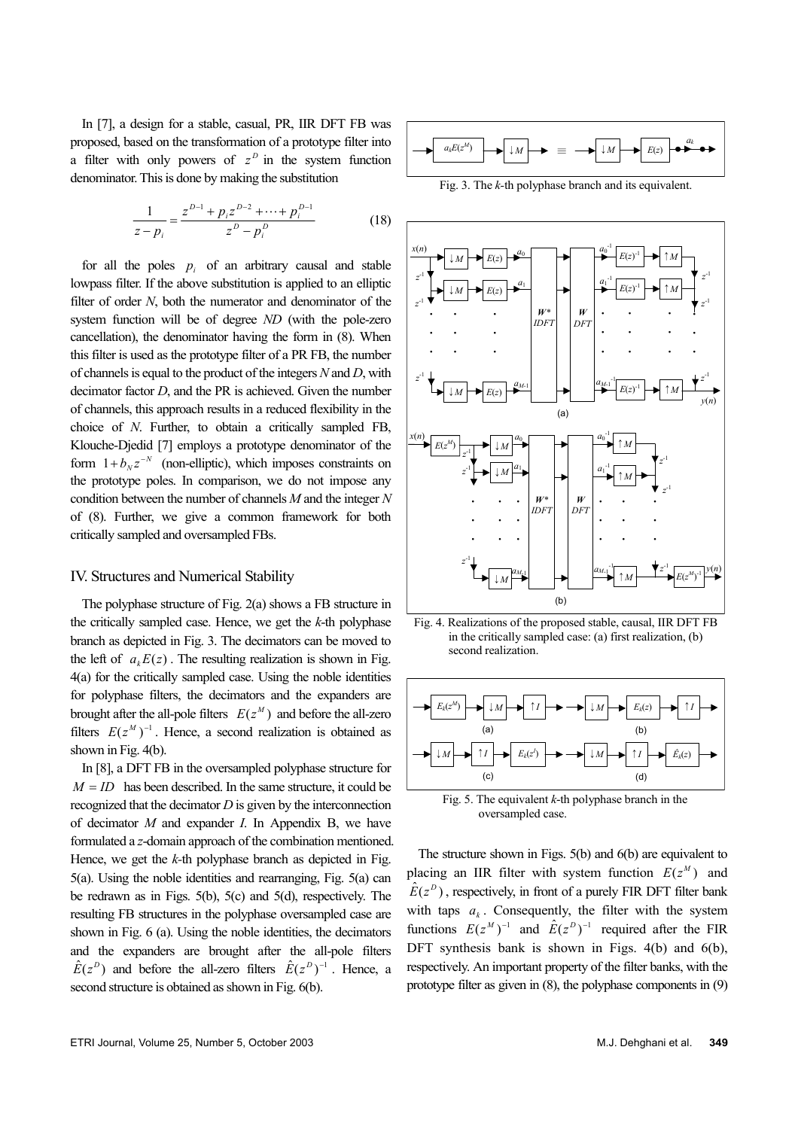In [7], a design for a stable, casual, PR, IIR DFT FB was proposed, based on the transformation of a prototype filter into a filter with only powers of  $z^D$  in the system function denominator. This is done by making the substitution

$$
\frac{1}{z - p_i} = \frac{z^{D-1} + p_i z^{D-2} + \dots + p_i^{D-1}}{z^D - p_i^D}
$$
(18)

for all the poles  $p_i$  of an arbitrary causal and stable lowpass filter. If the above substitution is applied to an elliptic filter of order *N*, both the numerator and denominator of the system function will be of degree *ND* (with the pole-zero cancellation), the denominator having the form in (8). When this filter is used as the prototype filter of a PR FB, the number of channels is equal to the product of the integers *N* and *D*, with decimator factor *D*, and the PR is achieved. Given the number of channels, this approach results in a reduced flexibility in the choice of *N*. Further, to obtain a critically sampled FB, Klouche-Djedid [7] employs a prototype denominator of the form  $1 + b_N z^{-N}$  (non-elliptic), which imposes constraints on the prototype poles. In comparison, we do not impose any condition between the number of channels *M* and the integer *N* of (8). Further, we give a common framework for both critically sampled and oversampled FBs.

## IV. Structures and Numerical Stability

The polyphase structure of Fig. 2(a) shows a FB structure in the critically sampled case. Hence, we get the *k*-th polyphase branch as depicted in Fig. 3. The decimators can be moved to the left of  $a_k E(z)$ . The resulting realization is shown in Fig. 4(a) for the critically sampled case. Using the noble identities for polyphase filters, the decimators and the expanders are brought after the all-pole filters  $E(z^M)$  and before the all-zero filters  $E(z^M)^{-1}$ . Hence, a second realization is obtained as shown in Fig. 4(b).

In [8], a DFT FB in the oversampled polyphase structure for  $M = ID$  has been described. In the same structure, it could be recognized that the decimator *D* is given by the interconnection of decimator *M* and expander *I*. In Appendix B, we have formulated a *z*-domain approach of the combination mentioned. Hence, we get the *k-*th polyphase branch as depicted in Fig. 5(a). Using the noble identities and rearranging, Fig. 5(a) can be redrawn as in Figs. 5(b), 5(c) and 5(d), respectively. The resulting FB structures in the polyphase oversampled case are shown in Fig. 6 (a). Using the noble identities, the decimators and the expanders are brought after the all-pole filters  $\hat{E}(z^D)$  and before the all-zero filters  $\hat{E}(z^D)^{-1}$ . Hence, a second structure is obtained as shown in Fig. 6(b).





Fig. 4. Realizations of the proposed stable, causal, IIR DFT FB in the critically sampled case: (a) first realization, (b) second realization.



oversampled case.

The structure shown in Figs. 5(b) and 6(b) are equivalent to placing an IIR filter with system function  $E(z^M)$  and  $\hat{E}(z^D)$ , respectively, in front of a purely FIR DFT filter bank with taps  $a_k$ . Consequently, the filter with the system functions  $E(z^M)^{-1}$  and  $\hat{E}(z^D)^{-1}$  required after the FIR DFT synthesis bank is shown in Figs. 4(b) and 6(b), respectively. An important property of the filter banks, with the prototype filter as given in (8), the polyphase components in (9)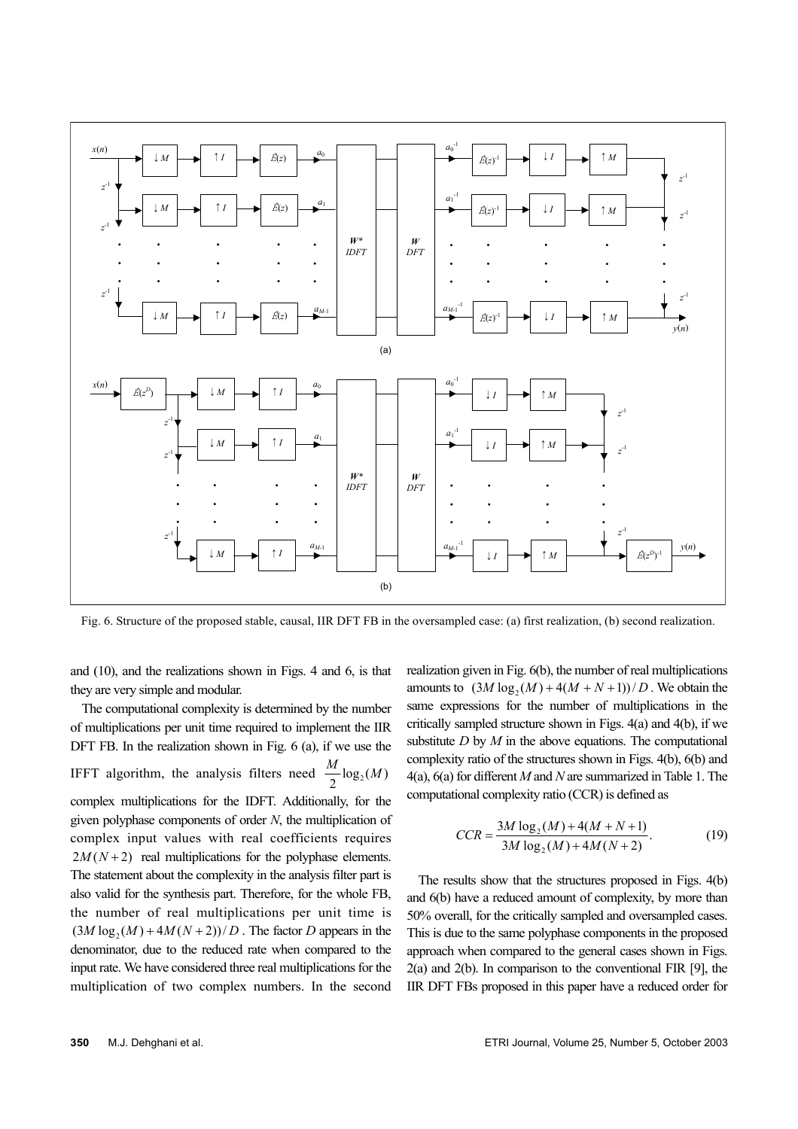

Fig. 6. Structure of the proposed stable, causal, IIR DFT FB in the oversampled case: (a) first realization, (b) second realization.

and (10), and the realizations shown in Figs. 4 and 6, is that they are very simple and modular.

The computational complexity is determined by the number of multiplications per unit time required to implement the IIR DFT FB. In the realization shown in Fig. 6 (a), if we use the IFFT algorithm, the analysis filters need  $\frac{M}{2} \log_2(M)$ complex multiplications for the IDFT. Additionally, for the given polyphase components of order *N*, the multiplication of complex input values with real coefficients requires  $2M(N+2)$  real multiplications for the polyphase elements. The statement about the complexity in the analysis filter part is also valid for the synthesis part. Therefore, for the whole FB, the number of real multiplications per unit time is  $(3M \log_2(M) + 4M(N + 2))/D$ . The factor *D* appears in the denominator, due to the reduced rate when compared to the input rate. We have considered three real multiplications for the multiplication of two complex numbers. In the second realization given in Fig. 6(b), the number of real multiplications amounts to  $(3M \log_2(M) + 4(M + N + 1))/D$ . We obtain the same expressions for the number of multiplications in the critically sampled structure shown in Figs. 4(a) and 4(b), if we substitute *D* by *M* in the above equations. The computational complexity ratio of the structures shown in Figs. 4(b), 6(b) and 4(a), 6(a) for different *M* and *N* are summarized in Table 1. The computational complexity ratio (CCR) is defined as

$$
CCR = \frac{3M \log_2(M) + 4(M + N + 1)}{3M \log_2(M) + 4M(N + 2)}.
$$
 (19)

The results show that the structures proposed in Figs. 4(b) and 6(b) have a reduced amount of complexity, by more than 50% overall, for the critically sampled and oversampled cases. This is due to the same polyphase components in the proposed approach when compared to the general cases shown in Figs. 2(a) and 2(b). In comparison to the conventional FIR [9], the IIR DFT FBs proposed in this paper have a reduced order for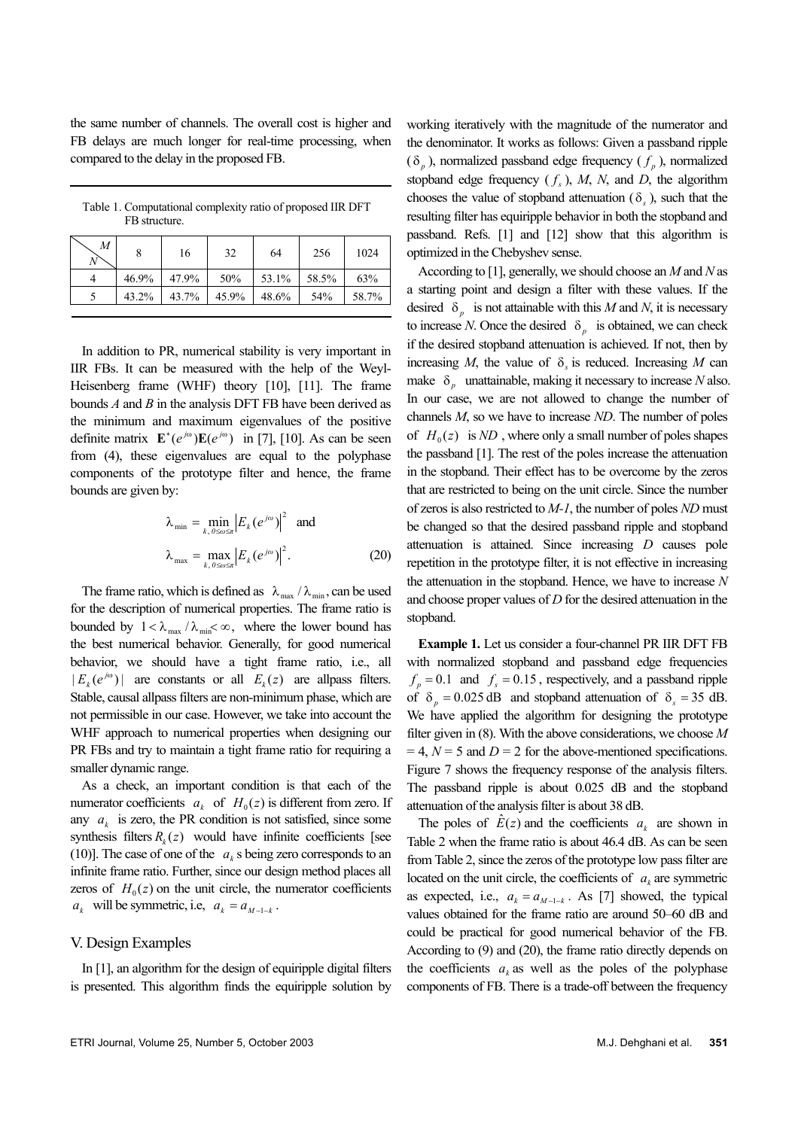the same number of channels. The overall cost is higher and FB delays are much longer for real-time processing, when compared to the delay in the proposed FB.

Table 1. Computational complexity ratio of proposed IIR DFT FB structure.

| M | 8     | 16    | 32    | 64    | 256   | 1024  |
|---|-------|-------|-------|-------|-------|-------|
|   | 46.9% | 47.9% | 50%   | 53.1% | 58.5% | 63%   |
|   | 43.2% | 43.7% | 45.9% | 48.6% | 54%   | 58.7% |

In addition to PR, numerical stability is very important in IIR FBs. It can be measured with the help of the Weyl-Heisenberg frame (WHF) theory [10], [11]. The frame bounds *A* and *B* in the analysis DFT FB have been derived as the minimum and maximum eigenvalues of the positive definite matrix  $\mathbf{E}^*(e^{j\omega})\mathbf{E}(e^{j\omega})$  in [7], [10]. As can be seen from (4), these eigenvalues are equal to the polyphase components of the prototype filter and hence, the frame bounds are given by:

$$
\lambda_{\min} = \min_{k, \, 0 \le \omega \le \pi} \left| E_k(e^{j\omega}) \right|^2 \text{ and}
$$

$$
\lambda_{\max} = \max_{k, \, 0 \le \omega \le \pi} \left| E_k(e^{j\omega}) \right|^2.
$$
 (20)

The frame ratio, which is defined as  $\lambda_{\text{max}}/\lambda_{\text{min}}$ , can be used for the description of numerical properties. The frame ratio is bounded by  $1 < \lambda_{\text{max}} / \lambda_{\text{min}} < \infty$ , where the lower bound has the best numerical behavior. Generally, for good numerical behavior, we should have a tight frame ratio, i.e., all  $|E_k(e^{j\omega})|$  are constants or all  $E_k(z)$  are allpass filters. Stable, causal allpass filters are non-minimum phase, which are not permissible in our case. However, we take into account the WHF approach to numerical properties when designing our PR FBs and try to maintain a tight frame ratio for requiring a smaller dynamic range.

As a check, an important condition is that each of the numerator coefficients  $a_k$  of  $H_0(z)$  is different from zero. If any  $a_k$  is zero, the PR condition is not satisfied, since some synthesis filters  $R_k(z)$  would have infinite coefficients [see (10)]. The case of one of the  $a_k$  s being zero corresponds to an infinite frame ratio. Further, since our design method places all zeros of  $H_0(z)$  on the unit circle, the numerator coefficients  $a_k$  will be symmetric, i.e,  $a_k = a_{M-1-k}$ .

#### V. Design Examples

In [1], an algorithm for the design of equiripple digital filters is presented. This algorithm finds the equiripple solution by

working iteratively with the magnitude of the numerator and the denominator. It works as follows: Given a passband ripple  $(\delta_p)$ , normalized passband edge frequency  $(f_p)$ , normalized stopband edge frequency  $(f_s)$ , M, N, and D, the algorithm chooses the value of stopband attenuation  $(\delta_s)$ , such that the resulting filter has equiripple behavior in both the stopband and passband. Refs. [1] and [12] show that this algorithm is optimized in the Chebyshev sense.

According to [1], generally, we should choose an *M* and *N* as a starting point and design a filter with these values. If the desired  $\delta_p$  is not attainable with this *M* and *N*, it is necessary to increase *N*. Once the desired  $\delta_p$  is obtained, we can check if the desired stopband attenuation is achieved. If not, then by increasing *M*, the value of  $\delta_s$  is reduced. Increasing *M* can make  $\delta_p$  unattainable, making it necessary to increase *N* also. In our case, we are not allowed to change the number of channels *M*, so we have to increase *ND*. The number of poles of  $H_0(z)$  is *ND*, where only a small number of poles shapes the passband [1]. The rest of the poles increase the attenuation in the stopband. Their effect has to be overcome by the zeros that are restricted to being on the unit circle. Since the number of zeros is also restricted to *M-1*, the number of poles *ND* must be changed so that the desired passband ripple and stopband attenuation is attained. Since increasing *D* causes pole repetition in the prototype filter, it is not effective in increasing the attenuation in the stopband. Hence, we have to increase *N* and choose proper values of *D* for the desired attenuation in the stopband.

**Example 1.** Let us consider a four-channel PR IIR DFT FB with normalized stopband and passband edge frequencies  $f_p = 0.1$  and  $f_s = 0.15$ , respectively, and a passband ripple of  $\delta_p = 0.025 \text{ dB}$  and stopband attenuation of  $\delta_s = 35 \text{ dB}$ . We have applied the algorithm for designing the prototype filter given in (8). With the above considerations, we choose *M*   $= 4$ ,  $N = 5$  and  $D = 2$  for the above-mentioned specifications. Figure 7 shows the frequency response of the analysis filters. The passband ripple is about 0.025 dB and the stopband attenuation of the analysis filter is about 38 dB.

The poles of  $\hat{E}(z)$  and the coefficients  $a_k$  are shown in Table 2 when the frame ratio is about 46.4 dB. As can be seen from Table 2, since the zeros of the prototype low pass filter are located on the unit circle, the coefficients of  $a_k$  are symmetric as expected, i.e.,  $a_k = a_{M-1-k}$ . As [7] showed, the typical values obtained for the frame ratio are around 50–60 dB and could be practical for good numerical behavior of the FB. According to (9) and (20), the frame ratio directly depends on the coefficients  $a_k$  as well as the poles of the polyphase components of FB. There is a trade-off between the frequency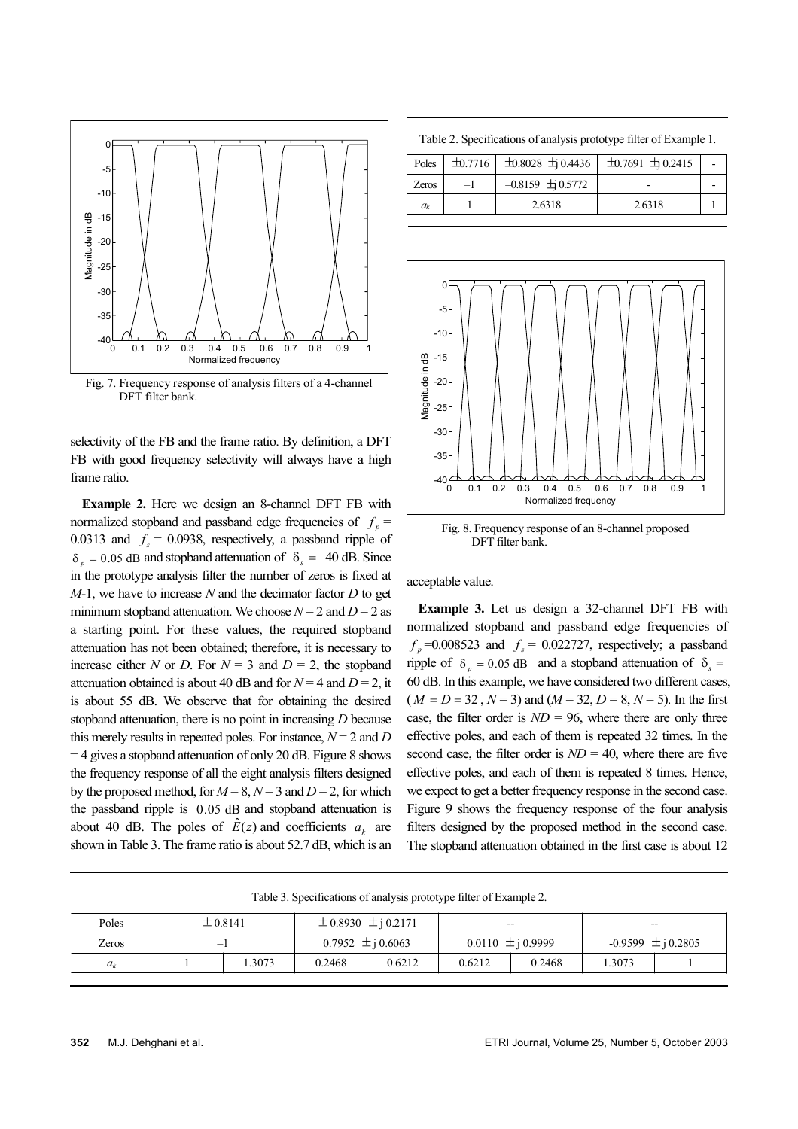

Fig. 7. Frequency response of analysis filters of a 4-channel DFT filter bank.

selectivity of the FB and the frame ratio. By definition, a DFT FB with good frequency selectivity will always have a high frame ratio.

**Example 2.** Here we design an 8-channel DFT FB with normalized stopband and passband edge frequencies of  $f_p =$ 0.0313 and  $f<sub>s</sub> = 0.0938$ , respectively, a passband ripple of  $\delta_p = 0.05$  dB and stopband attenuation of  $\delta_s = 40$  dB. Since in the prototype analysis filter the number of zeros is fixed at *M-*1, we have to increase *N* and the decimator factor *D* to get minimum stopband attenuation. We choose  $N = 2$  and  $D = 2$  as a starting point. For these values, the required stopband attenuation has not been obtained; therefore, it is necessary to increase either *N* or *D*. For  $N = 3$  and  $D = 2$ , the stopband attenuation obtained is about 40 dB and for  $N = 4$  and  $D = 2$ , it is about 55 dB. We observe that for obtaining the desired stopband attenuation, there is no point in increasing *D* because this merely results in repeated poles. For instance,  $N = 2$  and *D* = 4 gives a stopband attenuation of only 20 dB. Figure 8 shows the frequency response of all the eight analysis filters designed by the proposed method, for  $M = 8$ ,  $N = 3$  and  $D = 2$ , for which the passband ripple is  $0.05$  dB and stopband attenuation is about 40 dB. The poles of  $\hat{E}(z)$  and coefficients  $a_k$  are shown in Table 3. The frame ratio is about 52.7 dB, which is an

Table 2. Specifications of analysis prototype filter of Example 1.

| Poles   | $\pm 0.7716$ $\pm 0.8028$ $\pm 0.4436$ $\pm 0.7691$ $\pm 0.2415$ |        |  |
|---------|------------------------------------------------------------------|--------|--|
| Zeros   | $-0.8159 \pm 0.5772$                                             |        |  |
| $a_{k}$ | 2.6318                                                           | 2.6318 |  |



Fig. 8. Frequency response of an 8-channel proposed DFT filter bank.

acceptable value.

**Example 3.** Let us design a 32-channel DFT FB with normalized stopband and passband edge frequencies of  $f_p$  =0.008523 and  $f_s$  = 0.022727, respectively; a passband ripple of  $\delta_p = 0.05$  dB and a stopband attenuation of  $\delta_s =$ 60 dB. In this example, we have considered two different cases,  $(M = D = 32, N = 3)$  and  $(M = 32, D = 8, N = 5)$ . In the first case, the filter order is  $ND = 96$ , where there are only three effective poles, and each of them is repeated 32 times. In the second case, the filter order is  $ND = 40$ , where there are five effective poles, and each of them is repeated 8 times. Hence, we expect to get a better frequency response in the second case. Figure 9 shows the frequency response of the four analysis filters designed by the proposed method in the second case. The stopband attenuation obtained in the first case is about 12

|       |              |       |                             | - - -  |                       |        |                        |  |
|-------|--------------|-------|-----------------------------|--------|-----------------------|--------|------------------------|--|
| Poles | $\pm 0.8141$ |       | $\pm$ 0.8930 $\pm$ j 0.2171 |        | $- -$                 |        | --                     |  |
| Zeros |              |       | 0.7952 $\pm i 0.6063$       |        | $0.0110 \pm i 0.9999$ |        | $-0.9599 \pm i 0.2805$ |  |
| $a_k$ |              | .3073 | 0.2468                      | 0.6212 | 0.6212                | 0.2468 | .3073                  |  |

Table 3. Specifications of analysis prototype filter of Example 2.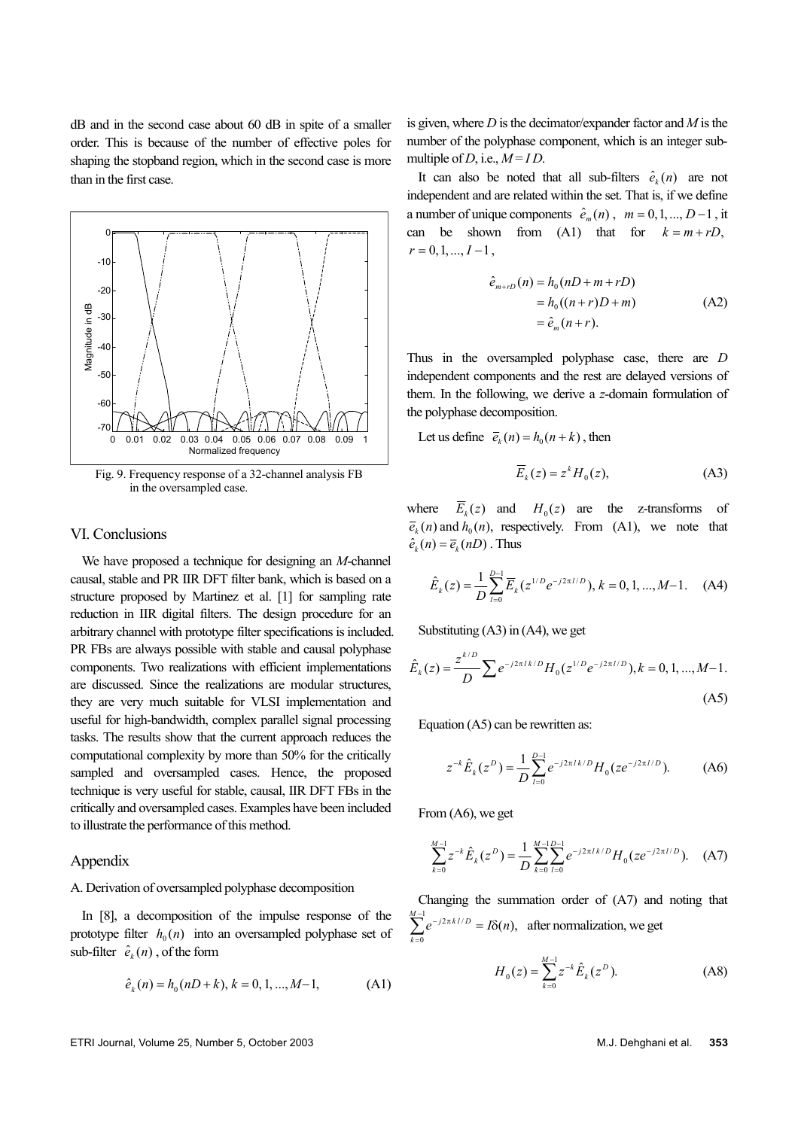dB and in the second case about 60 dB in spite of a smaller order. This is because of the number of effective poles for shaping the stopband region, which in the second case is more than in the first case.



Fig. 9. Frequency response of a 32-channel analysis FB in the oversampled case.

### VI. Conclusions

We have proposed a technique for designing an *M*-channel causal, stable and PR IIR DFT filter bank, which is based on a structure proposed by Martinez et al. [1] for sampling rate reduction in IIR digital filters. The design procedure for an arbitrary channel with prototype filter specifications is included. PR FBs are always possible with stable and causal polyphase components. Two realizations with efficient implementations are discussed. Since the realizations are modular structures, they are very much suitable for VLSI implementation and useful for high-bandwidth, complex parallel signal processing tasks. The results show that the current approach reduces the computational complexity by more than 50% for the critically sampled and oversampled cases. Hence, the proposed technique is very useful for stable, causal, IIR DFT FBs in the critically and oversampled cases. Examples have been included to illustrate the performance of this method.

# **Appendix**

# A. Derivation of oversampled polyphase decomposition

In [8], a decomposition of the impulse response of the prototype filter  $h_0(n)$  into an oversampled polyphase set of sub-filter  $\hat{e}_k(n)$ , of the form

$$
\hat{e}_k(n) = h_0(nD + k), k = 0, 1, ..., M - 1,
$$
 (A1)

is given, where *D* is the decimator/expander factor and *M* is the number of the polyphase component, which is an integer submultiple of *D*, i.e.,  $M = ID$ .

It can also be noted that all sub-filters  $\hat{e}_k(n)$  are not independent and are related within the set. That is, if we define a number of unique components  $\hat{e}_m(n)$ ,  $m = 0, 1, ..., D-1$ , it can be shown from  $(A1)$  that for  $k = m + rD$ ,  $r = 0, 1, ..., I -1$ ,

$$
\hat{e}_{m+rD}(n) = h_0(nD + m + rD)
$$
  
=  $h_0((n+r)D + m)$  (A2)  
=  $\hat{e}_m(n+r)$ .

Thus in the oversampled polyphase case, there are *D* independent components and the rest are delayed versions of them. In the following, we derive a *z*-domain formulation of the polyphase decomposition.

Let us define  $\overline{e}_k(n) = h_0(n+k)$ , then

$$
\overline{E}_k(z) = z^k H_0(z), \tag{A3}
$$

where  $E_k(z)$  and  $H_0(z)$  are the z-transforms of  $\overline{e}_k(n)$  and  $h_0(n)$ , respectively. From (A1), we note that  $\hat{e}_k(n) = \overline{e}_k(nD)$ . Thus

$$
\hat{E}_k(z) = \frac{1}{D} \sum_{l=0}^{D-1} \overline{E}_k(z^{1/D} e^{-j2\pi l/D}), k = 0, 1, ..., M-1.
$$
 (A4)

Substituting  $(A3)$  in  $(A4)$ , we get

$$
\hat{E}_k(z) = \frac{z^{k/D}}{D} \sum e^{-j2\pi i k/D} H_0(z^{1/D} e^{-j2\pi i/D}), k = 0, 1, ..., M-1.
$$
\n(A5)

Equation (A5) can be rewritten as:

$$
z^{-k}\hat{E}_k(z^D) = \frac{1}{D} \sum_{l=0}^{D-1} e^{-j2\pi l k/D} H_0(ze^{-j2\pi l/D}).
$$
 (A6)

From (A6), we get

$$
\sum_{k=0}^{M-1} z^{-k} \hat{E}_k(z^D) = \frac{1}{D} \sum_{k=0}^{M-1} \sum_{l=0}^{D-1} e^{-j2\pi I k/D} H_0(ze^{-j2\pi I/D}). \tag{A7}
$$

Changing the summation order of (A7) and noting that  $\sum_{n=1}^{M-1} e^{-j2\pi k l/D} = I\delta(n)$ , after normalization, we get  $<sup>0</sup>$ </sup> *k* =

$$
H_0(z) = \sum_{k=0}^{M-1} z^{-k} \hat{E}_k(z^D).
$$
 (A8)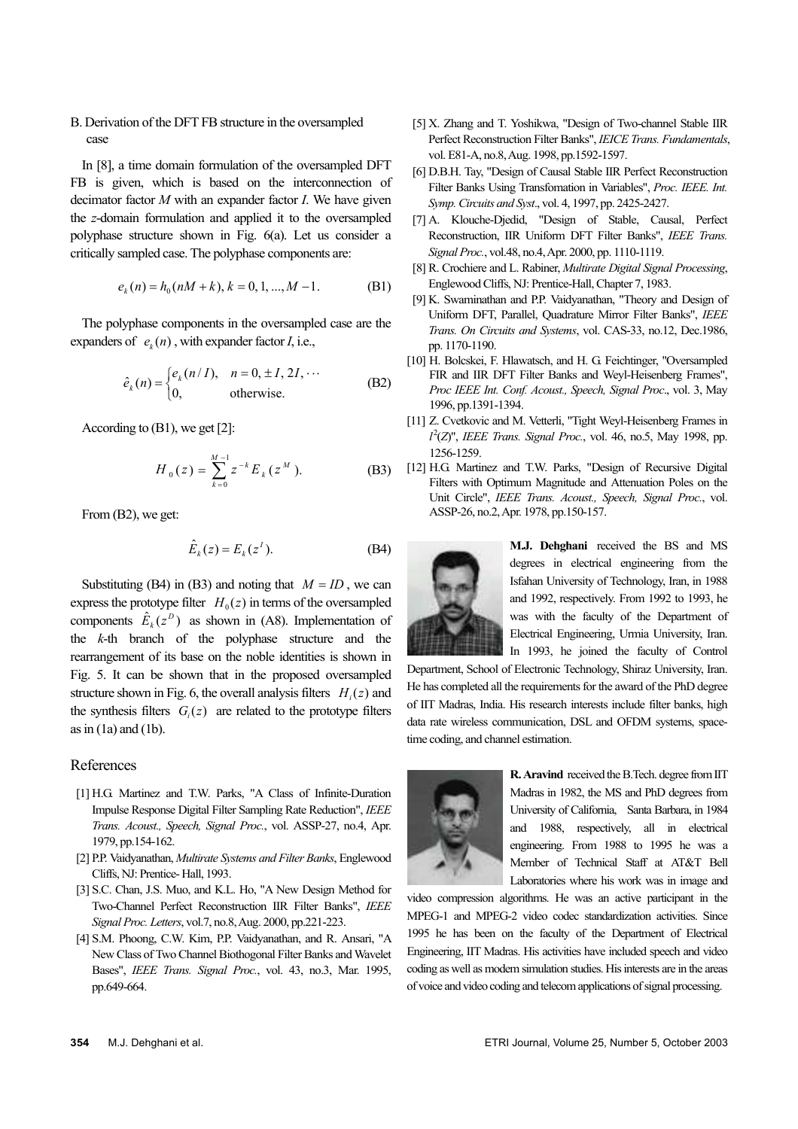# B. Derivation of the DFT FB structure in the oversampled case

In [8], a time domain formulation of the oversampled DFT FB is given, which is based on the interconnection of decimator factor *M* with an expander factor *I*. We have given the *z*-domain formulation and applied it to the oversampled polyphase structure shown in Fig. 6(a). Let us consider a critically sampled case. The polyphase components are:

$$
e_k(n) = h_0(nM + k), k = 0, 1, ..., M - 1.
$$
 (B1)

The polyphase components in the oversampled case are the expanders of  $e_k(n)$ , with expander factor *I*, i.e.,

$$
\hat{e}_k(n) = \begin{cases} e_k(n/I), & n = 0, \pm I, 2I, \cdots \\ 0, & \text{otherwise.} \end{cases}
$$
 (B2)

According to (B1), we get [2]:

$$
H_0(z) = \sum_{k=0}^{M-1} z^{-k} E_k(z^M).
$$
 (B3)

From (B2), we get:

$$
\hat{E}_k(z) = E_k(z^1). \tag{B4}
$$

Substituting (B4) in (B3) and noting that  $M = ID$ , we can express the prototype filter  $H_0(z)$  in terms of the oversampled components  $\hat{E}_k(z^D)$  as shown in (A8). Implementation of the *k*-th branch of the polyphase structure and the rearrangement of its base on the noble identities is shown in Fig. 5. It can be shown that in the proposed oversampled structure shown in Fig. 6, the overall analysis filters  $H_i(z)$  and the synthesis filters  $G_i(z)$  are related to the prototype filters as in  $(1a)$  and  $(1b)$ .

#### References

- [1] H.G. Martinez and T.W. Parks, "A Class of Infinite-Duration Impulse Response Digital Filter Sampling Rate Reduction", *IEEE Trans. Acoust., Speech, Signal Proc.*, vol. ASSP-27, no.4, Apr. 1979, pp.154-162.
- [2] P.P. Vaidyanathan, *Multirate Systems and Filter Banks*, Englewood Cliffs, NJ: Prentice- Hall, 1993.
- [3] S.C. Chan, J.S. Muo, and K.L. Ho, "A New Design Method for Two-Channel Perfect Reconstruction IIR Filter Banks", *IEEE Signal Proc. Letters*, vol.7, no.8, Aug. 2000, pp.221-223.
- [4] S.M. Phoong, C.W. Kim, P.P. Vaidyanathan, and R. Ansari, "A New Class of Two Channel Biothogonal Filter Banks and Wavelet Bases", *IEEE Trans. Signal Proc.*, vol. 43, no.3, Mar. 1995, pp.649-664.
- [5] X. Zhang and T. Yoshikwa, "Design of Two-channel Stable IIR Perfect Reconstruction Filter Banks", *IEICE Trans. Fundamentals*, vol. E81-A, no.8, Aug. 1998, pp.1592-1597.
- [6] D.B.H. Tay, "Design of Causal Stable IIR Perfect Reconstruction Filter Banks Using Transfomation in Variables", *Proc. IEEE. Int. Symp. Circuits and Syst*., vol. 4, 1997, pp. 2425-2427.
- [7] A. Klouche-Djedid, "Design of Stable, Causal, Perfect Reconstruction, IIR Uniform DFT Filter Banks", *IEEE Trans. Signal Proc.*, vol.48, no.4, Apr. 2000, pp. 1110-1119.
- [8] R. Crochiere and L. Rabiner, *Multirate Digital Signal Processing*, Englewood Cliffs, NJ: Prentice-Hall, Chapter 7, 1983.
- [9] K. Swaminathan and P.P. Vaidyanathan, "Theory and Design of Uniform DFT, Parallel, Quadrature Mirror Filter Banks", *IEEE Trans. On Circuits and Systems*, vol. CAS-33, no.12, Dec.1986, pp. 1170-1190.
- [10] H. Bolcskei, F. Hlawatsch, and H. G. Feichtinger, "Oversampled FIR and IIR DFT Filter Banks and Weyl-Heisenberg Frames", *Proc IEEE Int. Conf. Acoust., Speech, Signal Proc*., vol. 3, May 1996, pp.1391-1394.
- [11] Z. Cvetkovic and M. Vetterli, "Tight Weyl-Heisenberg Frames in *l* 2 (*Z*)", *IEEE Trans. Signal Proc.*, vol. 46, no.5, May 1998, pp. 1256-1259.
- [12] H.G. Martinez and T.W. Parks, "Design of Recursive Digital Filters with Optimum Magnitude and Attenuation Poles on the Unit Circle", *IEEE Trans. Acoust., Speech, Signal Proc.*, vol. ASSP-26, no.2, Apr. 1978, pp.150-157.



**M.J. Dehghani** received the BS and MS degrees in electrical engineering from the Isfahan University of Technology, Iran, in 1988 and 1992, respectively. From 1992 to 1993, he was with the faculty of the Department of Electrical Engineering, Urmia University, Iran. In 1993, he joined the faculty of Control

Department, School of Electronic Technology, Shiraz University, Iran. He has completed all the requirements for the award of the PhD degree of IIT Madras, India. His research interests include filter banks, high data rate wireless communication, DSL and OFDM systems, spacetime coding, and channel estimation.



**R. Aravind** received the B.Tech. degree from IIT Madras in 1982, the MS and PhD degrees from University of California, Santa Barbara, in 1984 and 1988, respectively, all in electrical engineering. From 1988 to 1995 he was a Member of Technical Staff at AT&T Bell Laboratories where his work was in image and

video compression algorithms. He was an active participant in the MPEG-1 and MPEG-2 video codec standardization activities. Since 1995 he has been on the faculty of the Department of Electrical Engineering, IIT Madras. His activities have included speech and video coding as well as modem simulation studies. His interests are in the areas of voice and video coding and telecom applications of signal processing.